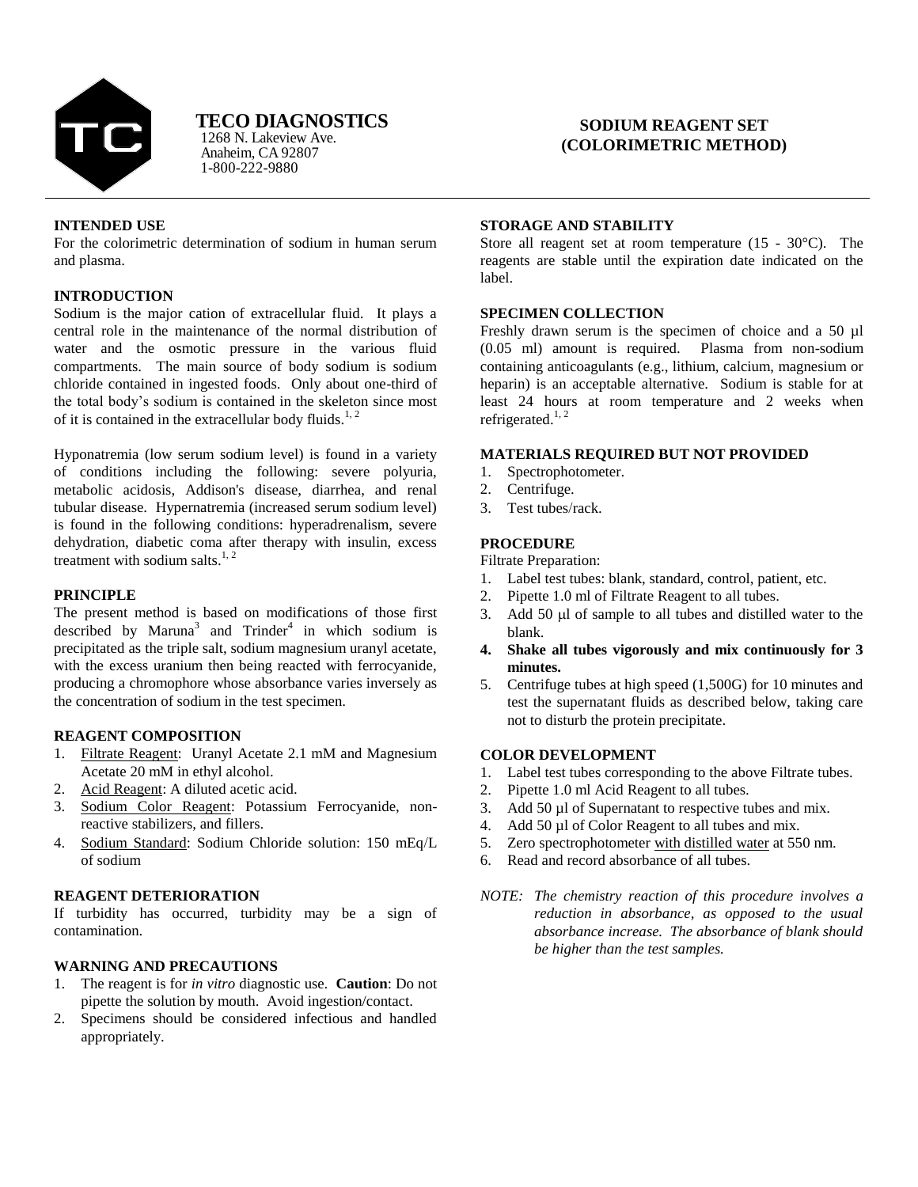

# **TECO DIAGNOSTICS**

Anaheim, CA 92807 1-800-222-9880 1268 N. Lakeview Ave.

# **SODIUM REAGENT SET (COLORIMETRIC METHOD)**

# **INTENDED USE**

For the colorimetric determination of sodium in human serum and plasma.

# **INTRODUCTION**

Sodium is the major cation of extracellular fluid. It plays a central role in the maintenance of the normal distribution of water and the osmotic pressure in the various fluid compartments. The main source of body sodium is sodium chloride contained in ingested foods. Only about one-third of the total body's sodium is contained in the skeleton since most of it is contained in the extracellular body fluids.<sup>1, 2</sup>

Hyponatremia (low serum sodium level) is found in a variety of conditions including the following: severe polyuria, metabolic acidosis, Addison's disease, diarrhea, and renal tubular disease. Hypernatremia (increased serum sodium level) is found in the following conditions: hyperadrenalism, severe dehydration, diabetic coma after therapy with insulin, excess treatment with sodium salts. $1, 2$ 

# **PRINCIPLE**

The present method is based on modifications of those first described by Maruna<sup>3</sup> and Trinder<sup>4</sup> in which sodium is precipitated as the triple salt, sodium magnesium uranyl acetate, with the excess uranium then being reacted with ferrocyanide, producing a chromophore whose absorbance varies inversely as the concentration of sodium in the test specimen.

# **REAGENT COMPOSITION**

- 1. Filtrate Reagent: Uranyl Acetate 2.1 mM and Magnesium Acetate 20 mM in ethyl alcohol.
- 2. Acid Reagent: A diluted acetic acid.
- 3. Sodium Color Reagent: Potassium Ferrocyanide, nonreactive stabilizers, and fillers.
- 4. Sodium Standard: Sodium Chloride solution: 150 mEqL of sodium

# **REAGENT DETERIORATION**

If turbidity has occurred, turbidity may be a sign of contamination.

# **WARNING AND PRECAUTIONS**

- 1. The reagent is for *in vitro* diagnostic use. **Caution**: Do not pipette the solution by mouth. Avoid ingestion/contact.
- 2. Specimens should be considered infectious and handled appropriately.

### **STORAGE AND STABILITY**

Store all reagent set at room temperature  $(15 - 30^{\circ}C)$ . The reagents are stable until the expiration date indicated on the label.

### **SPECIMEN COLLECTION**

Freshly drawn serum is the specimen of choice and a 50 µl (0.05 ml) amount is required. Plasma from non-sodium containing anticoagulants (e.g., lithium, calcium, magnesium or heparin) is an acceptable alternative. Sodium is stable for at least 24 hours at room temperature and 2 weeks when refrigerated. $1, 2$ 

### **MATERIALS REQUIRED BUT NOT PROVIDED**

- 1. Spectrophotometer.
- 2. Centrifuge.
- 3 Test tubes/rack

# **PROCEDURE**

Filtrate Preparation:

- 1. Label test tubes: blank, standard, control, patient, etc.
- 2. Pipette 1.0 ml of Filtrate Reagent to all tubes.
- 3. Add  $50 \mu l$  of sample to all tubes and distilled water to the blank.
- **4. Shake all tubes vigorously and mix continuously for 3 minutes.**
- 5. Centrifuge tubes at high speed (1,500G) for 10 minutes and test the supernatant fluids as described below, taking care not to disturb the protein precipitate.

# **COLOR DEVELOPMENT**

- 1. Label test tubes corresponding to the above Filtrate tubes.
- 2. Pipette 1.0 ml Acid Reagent to all tubes.
- 3. Add 50 µl of Supernatant to respective tubes and mix.
- 4. Add 50 µl of Color Reagent to all tubes and mix.
- 5. Zero spectrophotometer with distilled water at 550 nm.
- 6. Read and record absorbance of all tubes.
- *NOTE: The chemistry reaction of this procedure involves a reduction in absorbance, as opposed to the usual absorbance increase. The absorbance of blank should be higher than the test samples.*